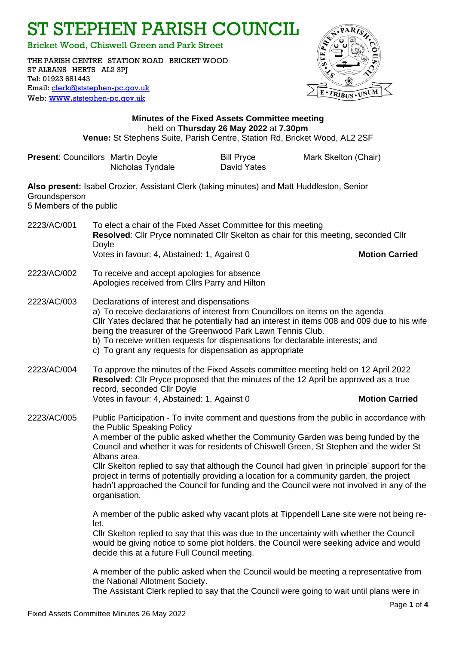ST STEPHEN PARISH COUNCIL

Bricket Wood, Chiswell Green and Park Street

THE PARISH CENTRE STATION ROAD BRICKET WOOD ST ALBANS HERTS AL2 3PJ Tel: 01923 681443 Email: [clerk@ststephen-pc.gov.uk](mailto:clerk@ststephen-pc.gov.uk)  Web: www.[ststephen-pc.gov.uk](http://www.ststephen-pc.gov.uk/)



# **Minutes of the Fixed Assets Committee meeting** held on **Thursday 26 May 2022** at **7.30pm Venue:** St Stephens Suite, Parish Centre, Station Rd, Bricket Wood, AL2 2SF

| <b>Present: Councillors Martin Doyle</b>                                                                                               |                                                                                                                                                                                                                                                                                                                                                                                                                                                                                                                                                                                                                                     | Nicholas Tyndale                                                                                                                                                                                      | <b>Bill Pryce</b><br>David Yates | Mark Skelton (Chair)                                                                                                                                                                                                                                                            |
|----------------------------------------------------------------------------------------------------------------------------------------|-------------------------------------------------------------------------------------------------------------------------------------------------------------------------------------------------------------------------------------------------------------------------------------------------------------------------------------------------------------------------------------------------------------------------------------------------------------------------------------------------------------------------------------------------------------------------------------------------------------------------------------|-------------------------------------------------------------------------------------------------------------------------------------------------------------------------------------------------------|----------------------------------|---------------------------------------------------------------------------------------------------------------------------------------------------------------------------------------------------------------------------------------------------------------------------------|
| Also present: Isabel Crozier, Assistant Clerk (taking minutes) and Matt Huddleston, Senior<br>Groundsperson<br>5 Members of the public |                                                                                                                                                                                                                                                                                                                                                                                                                                                                                                                                                                                                                                     |                                                                                                                                                                                                       |                                  |                                                                                                                                                                                                                                                                                 |
| 2223/AC/001                                                                                                                            | Doyle                                                                                                                                                                                                                                                                                                                                                                                                                                                                                                                                                                                                                               | To elect a chair of the Fixed Asset Committee for this meeting<br>Resolved: Cllr Pryce nominated Cllr Skelton as chair for this meeting, seconded Cllr<br>Votes in favour: 4, Abstained: 1, Against 0 |                                  | <b>Motion Carried</b>                                                                                                                                                                                                                                                           |
| 2223/AC/002                                                                                                                            |                                                                                                                                                                                                                                                                                                                                                                                                                                                                                                                                                                                                                                     | To receive and accept apologies for absence<br>Apologies received from Cllrs Parry and Hilton                                                                                                         |                                  |                                                                                                                                                                                                                                                                                 |
| 2223/AC/003                                                                                                                            | Declarations of interest and dispensations<br>a) To receive declarations of interest from Councillors on items on the agenda<br>Cllr Yates declared that he potentially had an interest in items 008 and 009 due to his wife<br>being the treasurer of the Greenwood Park Lawn Tennis Club.<br>b) To receive written requests for dispensations for declarable interests; and<br>c) To grant any requests for dispensation as appropriate                                                                                                                                                                                           |                                                                                                                                                                                                       |                                  |                                                                                                                                                                                                                                                                                 |
| 2223/AC/004                                                                                                                            | To approve the minutes of the Fixed Assets committee meeting held on 12 April 2022<br>Resolved: Cllr Pryce proposed that the minutes of the 12 April be approved as a true<br>record, seconded Cllr Doyle<br>Votes in favour: 4, Abstained: 1, Against 0<br><b>Motion Carried</b>                                                                                                                                                                                                                                                                                                                                                   |                                                                                                                                                                                                       |                                  |                                                                                                                                                                                                                                                                                 |
| 2223/AC/005                                                                                                                            | Public Participation - To invite comment and questions from the public in accordance with<br>the Public Speaking Policy<br>A member of the public asked whether the Community Garden was being funded by the<br>Council and whether it was for residents of Chiswell Green, St Stephen and the wider St<br>Albans area.<br>Cllr Skelton replied to say that although the Council had given 'in principle' support for the<br>project in terms of potentially providing a location for a community garden, the project<br>hadn't approached the Council for funding and the Council were not involved in any of the<br>organisation. |                                                                                                                                                                                                       |                                  |                                                                                                                                                                                                                                                                                 |
|                                                                                                                                        | let.                                                                                                                                                                                                                                                                                                                                                                                                                                                                                                                                                                                                                                | decide this at a future Full Council meeting.                                                                                                                                                         |                                  | A member of the public asked why vacant plots at Tippendell Lane site were not being re-<br>CIIr Skelton replied to say that this was due to the uncertainty with whether the Council<br>would be giving notice to some plot holders, the Council were seeking advice and would |
|                                                                                                                                        |                                                                                                                                                                                                                                                                                                                                                                                                                                                                                                                                                                                                                                     | the National Allotment Society.                                                                                                                                                                       |                                  | A member of the public asked when the Council would be meeting a representative from                                                                                                                                                                                            |

The Assistant Clerk replied to say that the Council were going to wait until plans were in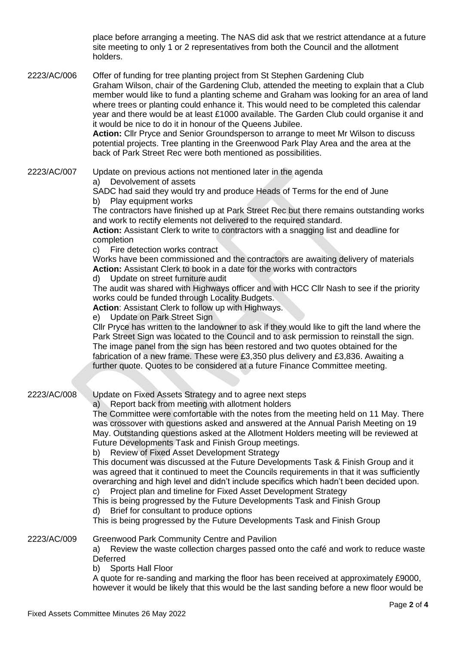place before arranging a meeting. The NAS did ask that we restrict attendance at a future site meeting to only 1 or 2 representatives from both the Council and the allotment holders.

2223/AC/006 Offer of funding for tree planting project from St Stephen Gardening Club

Graham Wilson, chair of the Gardening Club, attended the meeting to explain that a Club member would like to fund a planting scheme and Graham was looking for an area of land where trees or planting could enhance it. This would need to be completed this calendar year and there would be at least £1000 available. The Garden Club could organise it and it would be nice to do it in honour of the Queens Jubilee.

**Action:** Cllr Pryce and Senior Groundsperson to arrange to meet Mr Wilson to discuss potential projects. Tree planting in the Greenwood Park Play Area and the area at the back of Park Street Rec were both mentioned as possibilities.

### 2223/AC/007 Update on previous actions not mentioned later in the agenda

a) Devolvement of assets

SADC had said they would try and produce Heads of Terms for the end of June b) Play equipment works

The contractors have finished up at Park Street Rec but there remains outstanding works and work to rectify elements not delivered to the required standard.

**Action:** Assistant Clerk to write to contractors with a snagging list and deadline for completion

c) Fire detection works contract

Works have been commissioned and the contractors are awaiting delivery of materials **Action:** Assistant Clerk to book in a date for the works with contractors

d) Update on street furniture audit

The audit was shared with Highways officer and with HCC Cllr Nash to see if the priority works could be funded through Locality Budgets.

**Action**: Assistant Clerk to follow up with Highways.

e) Update on Park Street Sign

Cllr Pryce has written to the landowner to ask if they would like to gift the land where the Park Street Sign was located to the Council and to ask permission to reinstall the sign. The image panel from the sign has been restored and two quotes obtained for the fabrication of a new frame. These were £3,350 plus delivery and £3,836. Awaiting a further quote. Quotes to be considered at a future Finance Committee meeting.

2223/AC/008 Update on Fixed Assets Strategy and to agree next steps

a) Report back from meeting with allotment holders

The Committee were comfortable with the notes from the meeting held on 11 May. There was crossover with questions asked and answered at the Annual Parish Meeting on 19 May. Outstanding questions asked at the Allotment Holders meeting will be reviewed at Future Developments Task and Finish Group meetings.

b) Review of Fixed Asset Development Strategy

This document was discussed at the Future Developments Task & Finish Group and it was agreed that it continued to meet the Councils requirements in that it was sufficiently overarching and high level and didn't include specifics which hadn't been decided upon.

c) Project plan and timeline for Fixed Asset Development Strategy

This is being progressed by the Future Developments Task and Finish Group d) Brief for consultant to produce options

This is being progressed by the Future Developments Task and Finish Group

2223/AC/009 Greenwood Park Community Centre and Pavilion

a) Review the waste collection charges passed onto the café and work to reduce waste **Deferred** 

b) Sports Hall Floor

A quote for re-sanding and marking the floor has been received at approximately £9000, however it would be likely that this would be the last sanding before a new floor would be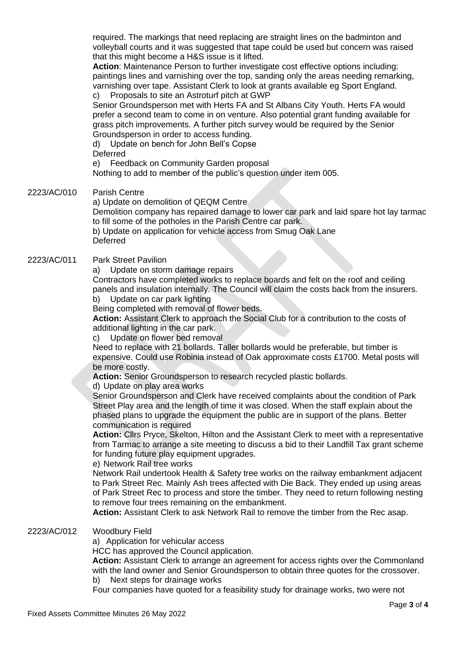required. The markings that need replacing are straight lines on the badminton and volleyball courts and it was suggested that tape could be used but concern was raised that this might become a H&S issue is it lifted.

**Action**: Maintenance Person to further investigate cost effective options including: paintings lines and varnishing over the top, sanding only the areas needing remarking, varnishing over tape. Assistant Clerk to look at grants available eg Sport England. c) Proposals to site an Astroturf pitch at GWP

Senior Groundsperson met with Herts FA and St Albans City Youth. Herts FA would prefer a second team to come in on venture. Also potential grant funding available for grass pitch improvements. A further pitch survey would be required by the Senior Groundsperson in order to access funding.

d) Update on bench for John Bell's Copse Deferred

e) Feedback on Community Garden proposal

Nothing to add to member of the public's question under item 005.

2223/AC/010 Parish Centre

### a) Update on demolition of QEQM Centre

Demolition company has repaired damage to lower car park and laid spare hot lay tarmac to fill some of the potholes in the Parish Centre car park.

b) Update on application for vehicle access from Smug Oak Lane **Deferred** 

## 2223/AC/011 Park Street Pavilion

a) Update on storm damage repairs

Contractors have completed works to replace boards and felt on the roof and ceiling panels and insulation internally. The Council will claim the costs back from the insurers.

b) Update on car park lighting

Being completed with removal of flower beds.

**Action:** Assistant Clerk to approach the Social Club for a contribution to the costs of additional lighting in the car park.

c) Update on flower bed removal

Need to replace with 21 bollards. Taller bollards would be preferable, but timber is expensive. Could use Robinia instead of Oak approximate costs £1700. Metal posts will be more costly.

**Action:** Senior Groundsperson to research recycled plastic bollards.

#### d) Update on play area works

Senior Groundsperson and Clerk have received complaints about the condition of Park Street Play area and the length of time it was closed. When the staff explain about the phased plans to upgrade the equipment the public are in support of the plans. Better communication is required

**Action:** Cllrs Pryce, Skelton, Hilton and the Assistant Clerk to meet with a representative from Tarmac to arrange a site meeting to discuss a bid to their Landfill Tax grant scheme for funding future play equipment upgrades.

e) Network Rail tree works

Network Rail undertook Health & Safety tree works on the railway embankment adjacent to Park Street Rec. Mainly Ash trees affected with Die Back. They ended up using areas of Park Street Rec to process and store the timber. They need to return following nesting to remove four trees remaining on the embankment.

**Action:** Assistant Clerk to ask Network Rail to remove the timber from the Rec asap.

2223/AC/012 Woodbury Field

a) Application for vehicular access

HCC has approved the Council application.

**Action:** Assistant Clerk to arrange an agreement for access rights over the Commonland with the land owner and Senior Groundsperson to obtain three quotes for the crossover. b) Next steps for drainage works

Four companies have quoted for a feasibility study for drainage works, two were not